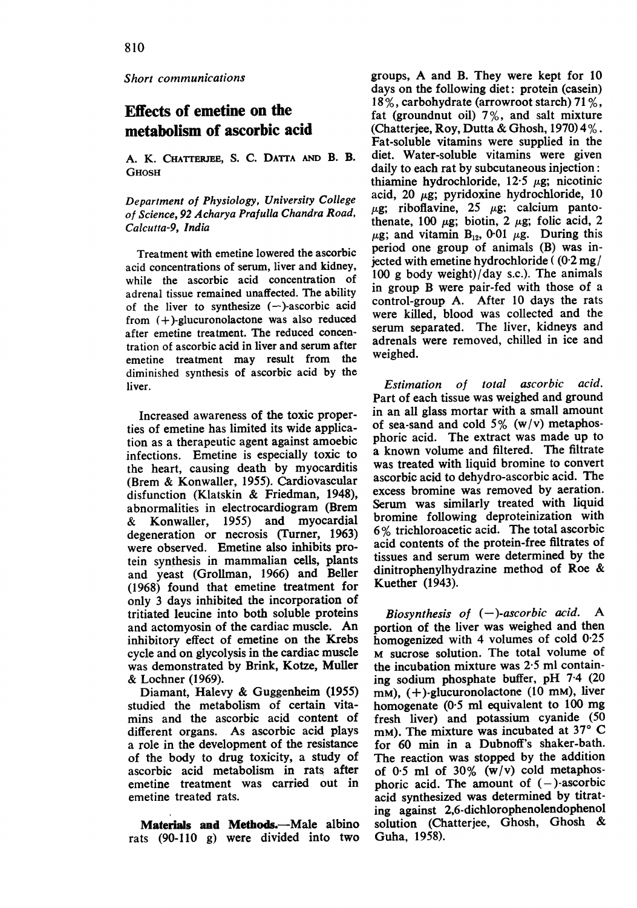Short communications

## Effects of emetine on the metabolism of ascorbic acid

A. K. CHATTERJEE, S. C. DATTA AND B. B. **GHOSH** 

Department of Physiology, University College of Science, 92 Acharya Prafulla Chandra Road, Calcutta-9, India

Treatment with emetine lowered the ascorbic acid concentrations of serum, liver and kidney, while the ascorbic acid concentration of adrenal tissue remained unaffected. The ability of the liver to synthesize  $(-)$ -ascorbic acid from  $(+)$ -glucuronolactone was also reduced after emetine treatment. The reduced concentration of ascorbic acid in liver and serum after emetine treatment may result from the diminished synthesis of ascorbic acid by the liver.

Increased awareness of the toxic properties of emetine has limited its wide application as a therapeutic agent against amoebic infections. Emetine is especially toxic to the heart, causing death by myocarditis (Brem & Konwaller, 1955). Cardiovascular disfunction (Klatskin & Friedman, 1948), abnormalities in electrocardiogram (Brem & Konwaller, 1955) and myocardial degeneration or necrosis (Turner, 1963) were observed. Emetine also inhibits protein synthesis in mammalian cells, plants and yeast (Grollman, 1966) and Beller (1968) found that emetine treatment for only 3 days inhibited the incorporation of tritiated leucine into both soluble proteins and actomyosin of the cardiac muscle. An inhibitory effect of emetine on the Krebs cycle and on glycolysis in the cardiac muscle was demonstrated by Brink, Kotze, Muller & Lochner (1969).

Diamant, Halevy & Guggenheim (1955) studied the metabolism of certain vitamins and the ascorbic acid content of different organs. As ascorbic acid plays a role in the development of the resistance of the body to drug toxicity, a study of ascorbic acid metabolism in rats after emetine treatment was carried out in emetine treated rats.

Materials and Methods.-Male albino rats (90-110 g) were divided into two groups, A and B. They were kept for <sup>10</sup> days on the following diet: protein (casein) 18 %, carbohydrate (arrowroot starch) 71 %, fat (groundnut oil) 7%, and salt mixture (Chatterjee, Roy, Dutta & Ghosh, 1970) 4%. Fat-soluble vitamins were supplied in the diet. Water-soluble vitamins were given daily to each rat by subcutaneous injection: thiamine hydrochloride,  $12.5 \mu$ g; nicotinic acid, 20  $\mu$ g; pyridoxine hydrochloride, 10  $\mu$ g; riboflavine, 25  $\mu$ g; calcium pantothenate, 100  $\mu$ g; biotin, 2  $\mu$ g; folic acid, 2  $\mu$ g; and vitamin B<sub>12</sub>, 0-01  $\mu$ g. During this period one group of animals (B) was injected with emetine hydrochloride  $($   $(0.2 \text{ mg})$ 100 g body weight)/day s.c.). The animals in group B were pair-fed with those of a control-group A. After 10 days the rats were killed, blood was collected and the serum separated. The liver, kidneys and adrenals were removed, chilled in ice and weighed.

Estimation of total ascorbic acid. Part of each tissue was weighed and ground in an all glass mortar with a small amount of sea-sand and cold  $5\%$  (w/v) metaphosphoric acid. The extract was made up to a known volume and filtered. The filtrate was treated with liquid bromine to convert ascorbic acid to dehydro-ascorbic acid. The excess bromine was removed by aeration. Serum was similarly treated with liquid bromine following deproteinization with <sup>6</sup> % trichloroacetic acid. The total ascorbic acid contents of the protein-free filtrates of tissues and serum were determined by the dinitrophenylhydrazine method of Roe & Kuether (1943).

Biosynthesis of  $(-)$ -ascorbic acid. A portion of the liver was weighed and then homogenized with 4 volumes of cold 0-25 M sucrose solution. The total volume of the incubation mixture was 2-5 ml containing sodium phosphate buffer, pH 7-4 (20  $mm$ ), (+)-glucuronolactone (10 mm), liver homogenate (0-5 ml equivalent to <sup>100</sup> mg fresh liver) and potassium cyanide (50 mM). The mixture was incubated at  $37^{\circ}$  C for 60 min in a Dubnoff's shaker-bath. The reaction was stopped by the addition of  $0.5$  ml of  $30\%$  (w/v) cold metaphosphoric acid. The amount of  $(-)$ -ascorbic acid synthesized was determined by titrating against 2,6-dichlorophenolendophenol solution (Chatterjee, Ghosh, Ghosh & Guha, 1958).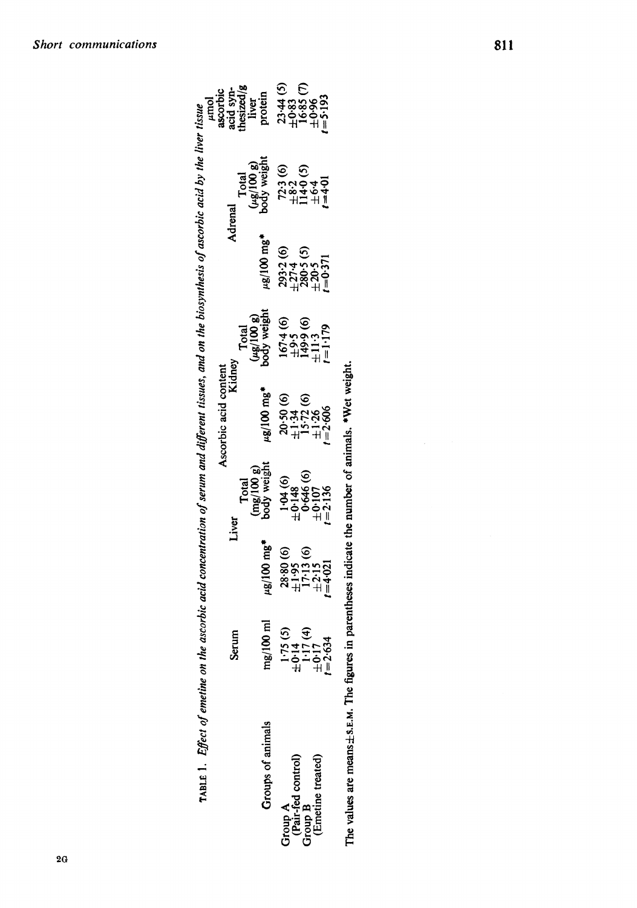| $A$ BLE 1. <i>Effect of emetine</i>                           |                                                                   | on the ascorbic acid concentration of serum and different tissues, and on the biosynthesis of ascorbic acid by the liver tissue |                                                                         |                                                               |                                                                     |                                                                         |                                                                        |                                                                  |
|---------------------------------------------------------------|-------------------------------------------------------------------|---------------------------------------------------------------------------------------------------------------------------------|-------------------------------------------------------------------------|---------------------------------------------------------------|---------------------------------------------------------------------|-------------------------------------------------------------------------|------------------------------------------------------------------------|------------------------------------------------------------------|
|                                                               |                                                                   |                                                                                                                                 |                                                                         | Ascorbic acid content<br>Kidney                               |                                                                     |                                                                         |                                                                        | umol<br>ascorbic<br>acid syn-<br>thesized/g<br>liver<br>protein  |
|                                                               | Serum                                                             | Liver                                                                                                                           |                                                                         |                                                               |                                                                     |                                                                         | Adrena                                                                 |                                                                  |
|                                                               |                                                                   |                                                                                                                                 |                                                                         |                                                               |                                                                     |                                                                         |                                                                        |                                                                  |
| Groups of animals                                             | mg/100 ml                                                         | $\mu$ g/100 mg                                                                                                                  | Total<br>(mg/100 g)<br>body weight                                      | $\mu$ g/100 mg*                                               | Total<br>(µg/100 g)<br>body weight                                  | $\mu$ g/100 mg                                                          | Total<br>(µg/100 g)<br>pody weight                                     |                                                                  |
|                                                               |                                                                   |                                                                                                                                 |                                                                         | $20.50(6)$<br>$\pm 1.34(6)$<br>$\pm 1.26(6)$<br>$\pm 1.26(6)$ | $1674 (6)$<br>$\pm 9.5$<br>$149.9 (6)$<br>$\pm 11.3$<br>$t = 1.179$ | $293.2$ (6)<br>$\pm 27.4$<br>$\pm 280.5$ (5)<br>$\pm 20.5$<br>$t=0.371$ | $723(6)$<br>$\pm 82(5)$<br>$\pm 64(5)$<br>$\pm 64(5)$<br>$\cdot = 401$ | $23.44(5)$<br>$\pm 0.85(7)$<br>$16.85(7)$<br>$16.85(7)$<br>$193$ |
|                                                               |                                                                   |                                                                                                                                 |                                                                         |                                                               |                                                                     |                                                                         |                                                                        |                                                                  |
| Group A<br>(Pair-fed control)<br>Group B<br>(Emetine treated) | $1.75(5)$<br>$\pm 0.14$<br>$1.17(4)$<br>$\pm 0.17$<br>$\pm 2.634$ | $28.80(6)$<br>$\pm 1.95(6)$<br>$\pm 1.13(6)$<br>$\pm 2.15$<br>$\pm 2.15$<br>$\pm 2.15$                                          | $1.04(6)$<br>$+0.148$<br>$+0.646(6)$<br>$+0.07$<br>$+0.107$<br>$+2.136$ |                                                               |                                                                     |                                                                         |                                                                        |                                                                  |
|                                                               |                                                                   |                                                                                                                                 |                                                                         |                                                               |                                                                     |                                                                         |                                                                        |                                                                  |
|                                                               |                                                                   |                                                                                                                                 |                                                                         |                                                               |                                                                     |                                                                         |                                                                        |                                                                  |

The values are means $\pm$ s.E.M. The figures in parentheses indicate the number of animals. \*Wet weight.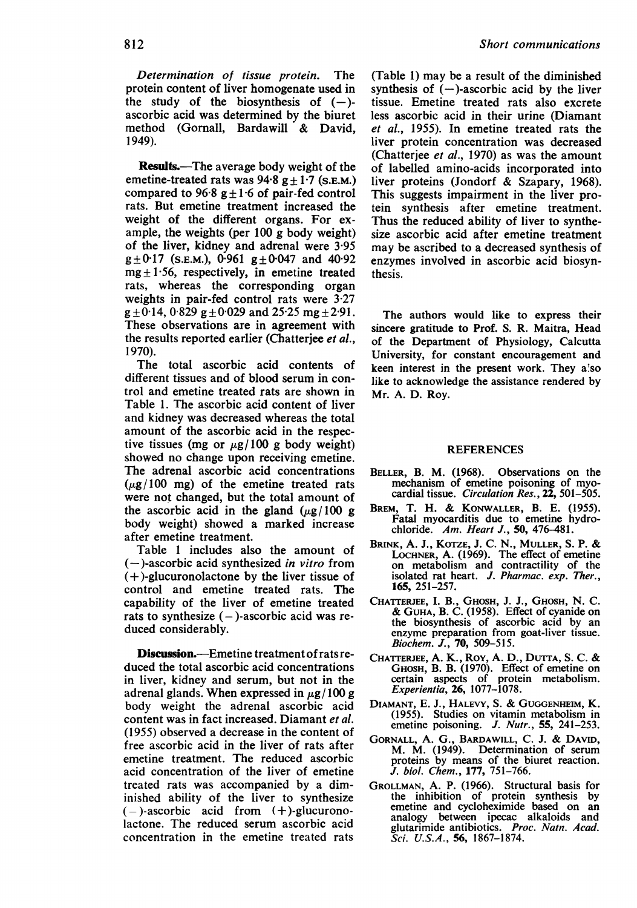Determination of tissue protein. The protein content of liver homogenate used in the study of the biosynthesis of  $(-)$ ascorbic acid was determined by the biuret method (Gornall, Bardawill & David, 1949).

**Results.**—The average body weight of the emetine-treated rats was  $94.8 g \pm 1.7$  (S.E.M.) compared to 96.8  $g \pm 1.6$  of pair-fed control rats. But emetine treatment increased the weight of the different organs. For example, the weights (per 100 g body weight) of the liver, kidney and adrenal were 3-95  $g \pm 0.17$  (S.E.M.), 0.961  $g \pm 0.047$  and 40.92  $mg \pm 1.56$ , respectively, in emetine treated rats, whereas the corresponding organ weights in pair-fed control rats were 3-27  $g \pm 0.14$ , 0.829 g  $\pm 0.029$  and 25.25 mg  $+2.91$ . These observations are in agreement with the results reported earlier (Chatterjee et al., 1970).

The total ascorbic acid contents of different tissues and of blood serum in control and emetine treated rats are shown in Table 1. The ascorbic acid content of liver and kidney was decreased whereas the total amount of the ascorbic acid in the respective tissues (mg or  $\mu$ g/100 g body weight) showed no change upon receiving emetine. The adrenal ascorbic acid concentrations  $(\mu$ g/100 mg) of the emetine treated rats were not changed, but the total amount of the ascorbic acid in the gland  $(\mu g / 100 g)$ body weight) showed a marked increase after emetine treatment.

Table <sup>1</sup> includes also the amount of  $(-)$ -ascorbic acid synthesized in vitro from  $(+)$ -glucuronolactone by the liver tissue of control and emetine treated rats. The capability of the liver of emetine treated rats to synthesize  $(-)$ -ascorbic acid was reduced considerably.

Discussion.---Emetine treatment of rats reduced the total ascorbic acid concentrations in liver, kidney and serum, but not in the adrenal glands. When expressed in  $\mu$ g/ 100 g body weight the adrenal ascorbic acid content was in fact increased. Diamant et al. (1955) observed a decrease in the content of free ascorbic acid in the liver of rats after emetine treatment. The reduced ascorbic acid concentration of the liver of emetine treated rats was accompanied by a diminished ability of the liver to synthesize  $(-)$ -ascorbic acid from  $(+)$ -glucuronolactone. The reduced serum ascorbic acid concentration in the emetine treated rats

(Table 1) may be a result of the diminished synthesis of  $(-)$ -ascorbic acid by the liver tissue. Emetine treated rats also excrete less ascorbic acid in their urine (Diamant et al., 1955). In emetine treated rats the liver protein concentration was decreased (Chatterjee et al., 1970) as was the amount of labelled amino-acids incorporated into liver proteins (Jondorf & Szapary, 1968). This suggests impairment in the liver protein synthesis after emetine treatment. Thus the reduced ability of liver to synthesize ascorbic acid after emetine treatment may be ascribed to a decreased synthesis of enzymes involved in ascorbic acid biosynthesis.

The authors would like to express their sincere gratitude to Prof. S. R. Maitra, Head of the Department of Physiology, Calcutta University, for constant encouragement and keen interest in the present work. They a'so like to acknowledge the assistance rendered by Mr. A. D. Roy.

## **REFERENCES**

- BELLER, B. M. (1968). Observations on the mechanism of emetine poisoning of myocardial tissue. Circulation Res., 22, 501-505.
- BREM, T. H. & KONWALLER, B. E. (1955). Fatal myocarditis due to emetine hydrochloride. Am. Heart J., 50, 476-481.
- BRINK, A. J., KOTZE, J. C. N., MULLER, S. P. & LOCHNER, A. (1969). The effect of emetine<br>on metabolism and contractility of the<br>isolated rat heart. J. Pharmac. exp. Ther., 165, 251-257.
- CHATTERJEE, I. B., GHosH, J. J., GHOSH, N. C. & GUHA, B. C. (1958). Effect of cyanide on the biosynthesis of ascorbic acid by an enzyme preparation from goat-liver tissue. Biochem. J., 70, 509-515.
- CHATrERJEE, A. K., Roy, A. D., DuTrA, S. C. & GHOSH, B. B. (1970). Effect of emetine on certain aspects of protein metabolism.<br>Experientia, 26, 1077-1078.
- DIAMANT, E. J., HALEVY, S. & GUGGENHEIM, K. (1955). Studies on vitamin metabolism in emetine poisoning. J. Nutr., 55, 241-253.
- GORNALL, A. G., BARDAWILL, C. J. & DAVID, M. M. (1949). Determination of serum proteins by means of the biuret reaction. J. biol. Chem., 177, 751-766.
- GROLLMAN, A. P. (1966). Structural basis for the inhibition of protein synthesis by emetine and cycloheximide based on an analogy between ipecac alkaloids and between ipecac alkaloids and glutarimide antibiotics. Proc. Natn. Acad. Sci. U.S.A., 56, 1867-1874.